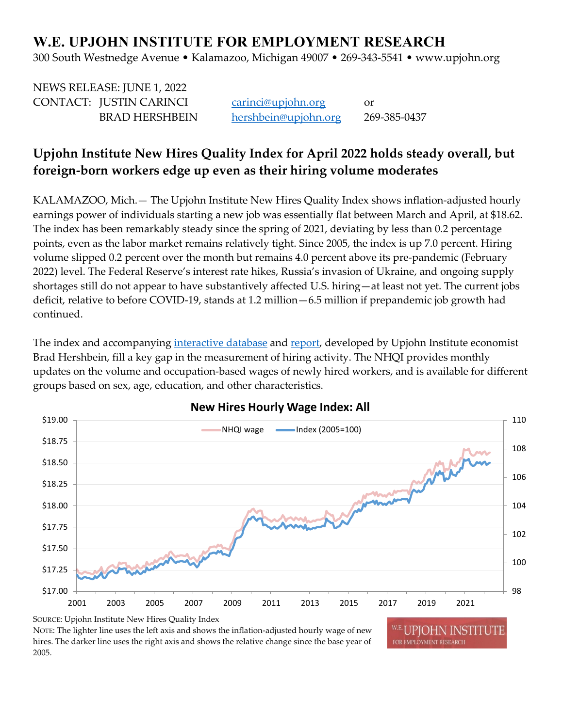# **W.E. UPJOHN INSTITUTE FOR EMPLOYMENT RESEARCH**

300 South Westnedge Avenue • Kalamazoo, Michigan 49007 • 269-343-5541 • www.upjohn.org

| NEWS RELEASE: JUNE 1, 2022 |                      |              |
|----------------------------|----------------------|--------------|
| CONTACT: JUSTIN CARINCI    | carinci@upjohn.org   | or           |
| <b>BRAD HERSHBEIN</b>      | hershbein@upjohn.org | 269-385-0437 |

# **Upjohn Institute New Hires Quality Index for April 2022 holds steady overall, but foreign-born workers edge up even as their hiring volume moderates**

KALAMAZOO, Mich.— The Upjohn Institute New Hires Quality Index shows inflation-adjusted hourly earnings power of individuals starting a new job was essentially flat between March and April, at \$18.62. The index has been remarkably steady since the spring of 2021, deviating by less than 0.2 percentage points, even as the labor market remains relatively tight. Since 2005, the index is up 7.0 percent. Hiring volume slipped 0.2 percent over the month but remains 4.0 percent above its pre-pandemic (February 2022) level. The Federal Reserve's interest rate hikes, Russia's invasion of Ukraine, and ongoing supply shortages still do not appear to have substantively affected U.S. hiring—at least not yet. The current jobs deficit, relative to before COVID-19, stands at 1.2 million—6.5 million if prepandemic job growth had continued.

The index and accompanying [interactive database](http://www.upjohn.org/nhqi/) and [report,](https://www.upjohn.org/sites/default/files/2021-05/NHQI_report_0.pdf) developed by Upjohn Institute economist Brad Hershbein, fill a key gap in the measurement of hiring activity. The NHQI provides monthly updates on the volume and occupation-based wages of newly hired workers, and is available for different groups based on sex, age, education, and other characteristics.



## **New Hires Hourly Wage Index: All**

NOTE: The lighter line uses the left axis and shows the inflation-adjusted hourly wage of new hires. The darker line uses the right axis and shows the relative change since the base year of 2005.

UPIOHN INSTIT FOR EMPLOYMENT RESEARCH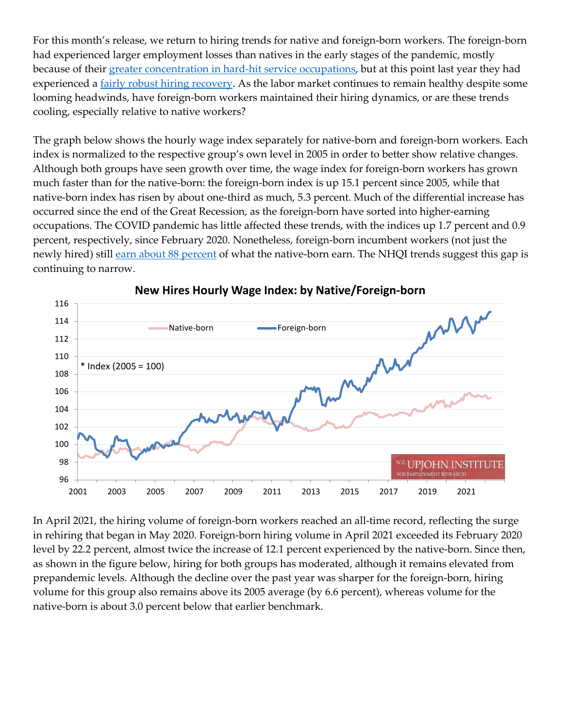For this month's release, we return to hiring trends for native and foreign-born workers. The foreign-born had experienced larger employment losses than natives in the early stages of the pandemic, mostly because of their [greater concentration in hard-hit service occupations,](https://www.bls.gov/news.release/forbrn.htm) but at this point last year they had experienced a <u>fairly robust hiring recovery</u>. As the labor market continues to remain healthy despite some looming headwinds, have foreign-born workers maintained their hiring dynamics, or are these trends cooling, especially relative to native workers?

The graph below shows the hourly wage index separately for native-born and foreign-born workers. Each index is normalized to the respective group's own level in 2005 in order to better show relative changes. Although both groups have seen growth over time, the wage index for foreign-born workers has grown much faster than for the native-born: the foreign-born index is up 15.1 percent since 2005, while that native-born index has risen by about one-third as much, 5.3 percent. Much of the differential increase has occurred since the end of the Great Recession, as the foreign-born have sorted into higher-earning occupations. The COVID pandemic has little affected these trends, with the indices up 1.7 percent and 0.9 percent, respectively, since February 2020. Nonetheless, foreign-born incumbent workers (not just the newly hired) still [earn about 88 percent](https://www.bls.gov/news.release/forbrn.htm) of what the native-born earn. The NHQI trends suggest this gap is continuing to narrow.



#### **New Hires Hourly Wage Index: by Native/Foreign-born**

In April 2021, the hiring volume of foreign-born workers reached an all-time record, reflecting the surge in rehiring that began in May 2020. Foreign-born hiring volume in April 2021 exceeded its February 2020 level by 22.2 percent, almost twice the increase of 12.1 percent experienced by the native-born. Since then, as shown in the figure below, hiring for both groups has moderated, although it remains elevated from prepandemic levels. Although the decline over the past year was sharper for the foreign-born, hiring volume for this group also remains above its 2005 average (by 6.6 percent), whereas volume for the native-born is about 3.0 percent below that earlier benchmark.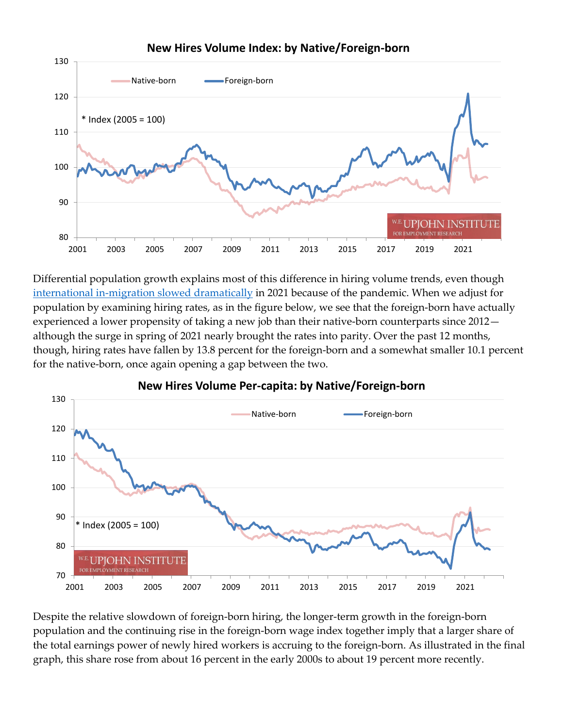

**New Hires Volume Index: by Native/Foreign-born**

Differential population growth explains most of this difference in hiring volume trends, even though international in-migration slowed dramatically in 2021 because of the pandemic. When we adjust for population by examining hiring rates, as in the figure below, we see that the foreign-born have actually experienced a lower propensity of taking a new job than their native-born counterparts since 2012 although the surge in spring of 2021 nearly brought the rates into parity. Over the past 12 months, though, hiring rates have fallen by 13.8 percent for the foreign-born and a somewhat smaller 10.1 percent for the native-born, once again opening a gap between the two.



### **New Hires Volume Per-capita: by Native/Foreign-born**

Despite the relative slowdown of foreign-born hiring, the longer-term growth in the foreign-born population and the continuing rise in the foreign-born wage index together imply that a larger share of the total earnings power of newly hired workers is accruing to the foreign-born. As illustrated in the final graph, this share rose from about 16 percent in the early 2000s to about 19 percent more recently.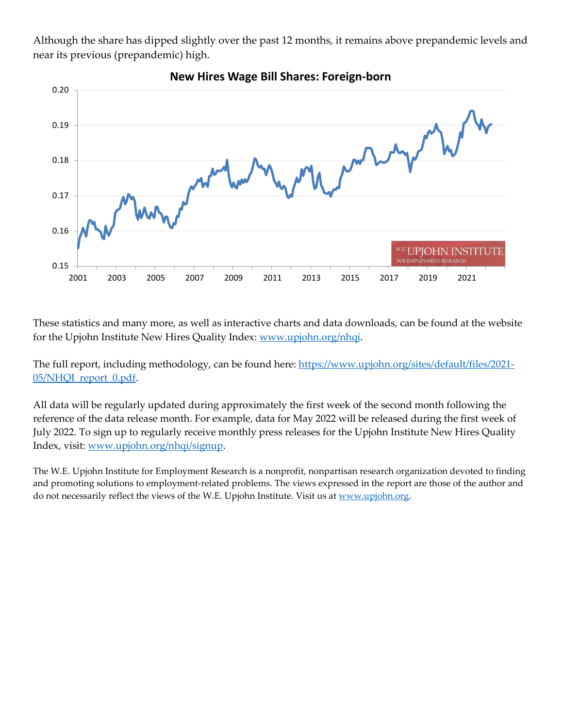Although the share has dipped slightly over the past 12 months, it remains above prepandemic levels and near its previous (prepandemic) high.



These statistics and many more, as well as interactive charts and data downloads, can be found at the website for the Upjohn Institute New Hires Quality Index: [www.upjohn.org/nhqi.](http://www.upjohn.org/nhqi/)

The full report, including methodology, can be found here: [https://www.upjohn.org/sites/default/files/2021-](https://www.upjohn.org/sites/default/files/2021-05/NHQI_report_0.pdf) [05/NHQI\\_report\\_0.pdf.](https://www.upjohn.org/sites/default/files/2021-05/NHQI_report_0.pdf)

All data will be regularly updated during approximately the first week of the second month following the reference of the data release month. For example, data for May 2022 will be released during the first week of July 2022. To sign up to regularly receive monthly press releases for the Upjohn Institute New Hires Quality Index, visit: [www.upjohn.org/nhqi/signup.](http://www.upjohn.org/nhqi/signup)

The W.E. Upjohn Institute for Employment Research is a nonprofit, nonpartisan research organization devoted to finding and promoting solutions to employment-related problems. The views expressed in the report are those of the author and do not necessarily reflect the views of the W.E. Upjohn Institute. Visit us at www.upjohn.org.